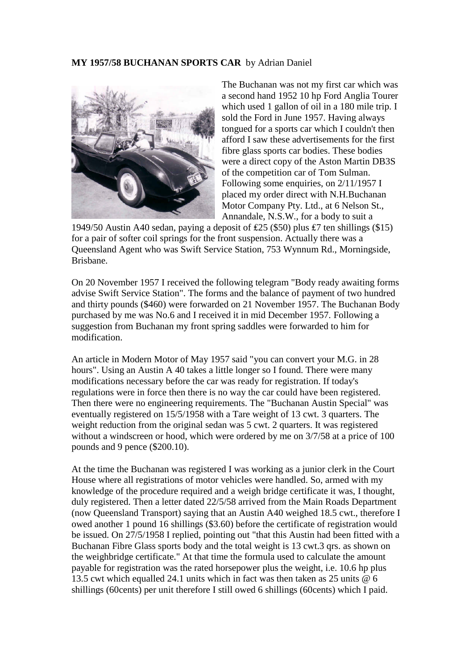## **MY 1957/58 BUCHANAN SPORTS CAR** by Adrian Daniel



The Buchanan was not my first car which was a second hand 1952 10 hp Ford Anglia Tourer which used 1 gallon of oil in a 180 mile trip. I sold the Ford in June 1957. Having always tongued for a sports car which I couldn't then afford I saw these advertisements for the first fibre glass sports car bodies. These bodies were a direct copy of the Aston Martin DB3S of the competition car of Tom Sulman. Following some enquiries, on 2/11/1957 I placed my order direct with N.H.Buchanan Motor Company Pty. Ltd., at 6 Nelson St., Annandale, N.S.W., for a body to suit a

1949/50 Austin A40 sedan, paying a deposit of ₤25 (\$50) plus ₤7 ten shillings (\$15) for a pair of softer coil springs for the front suspension. Actually there was a Queensland Agent who was Swift Service Station, 753 Wynnum Rd., Morningside, Brisbane.

On 20 November 1957 I received the following telegram "Body ready awaiting forms advise Swift Service Station". The forms and the balance of payment of two hundred and thirty pounds (\$460) were forwarded on 21 November 1957. The Buchanan Body purchased by me was No.6 and I received it in mid December 1957. Following a suggestion from Buchanan my front spring saddles were forwarded to him for modification.

An article in Modern Motor of May 1957 said "you can convert your M.G. in 28 hours". Using an Austin A 40 takes a little longer so I found. There were many modifications necessary before the car was ready for registration. If today's regulations were in force then there is no way the car could have been registered. Then there were no engineering requirements. The "Buchanan Austin Special" was eventually registered on 15/5/1958 with a Tare weight of 13 cwt. 3 quarters. The weight reduction from the original sedan was 5 cwt. 2 quarters. It was registered without a windscreen or hood, which were ordered by me on 3/7/58 at a price of 100 pounds and 9 pence (\$200.10).

At the time the Buchanan was registered I was working as a junior clerk in the Court House where all registrations of motor vehicles were handled. So, armed with my knowledge of the procedure required and a weigh bridge certificate it was, I thought, duly registered. Then a letter dated 22/5/58 arrived from the Main Roads Department (now Queensland Transport) saying that an Austin A40 weighed 18.5 cwt., therefore I owed another 1 pound 16 shillings (\$3.60) before the certificate of registration would be issued. On 27/5/1958 I replied, pointing out "that this Austin had been fitted with a Buchanan Fibre Glass sports body and the total weight is 13 cwt.3 qrs. as shown on the weighbridge certificate." At that time the formula used to calculate the amount payable for registration was the rated horsepower plus the weight, i.e. 10.6 hp plus 13.5 cwt which equalled 24.1 units which in fact was then taken as 25 units @ 6 shillings (60cents) per unit therefore I still owed 6 shillings (60cents) which I paid.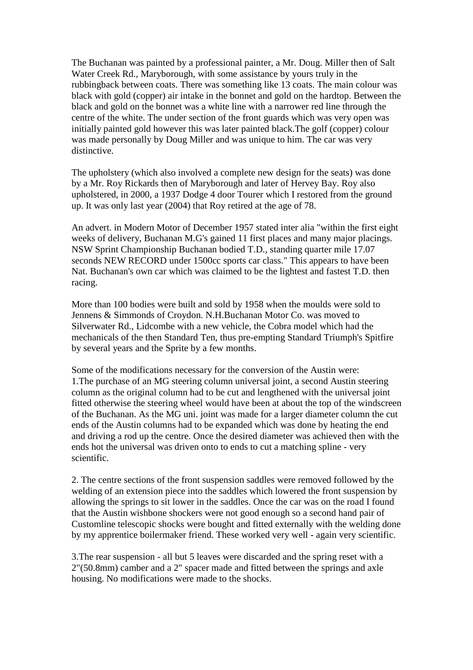The Buchanan was painted by a professional painter, a Mr. Doug. Miller then of Salt Water Creek Rd., Maryborough, with some assistance by yours truly in the rubbingback between coats. There was something like 13 coats. The main colour was black with gold (copper) air intake in the bonnet and gold on the hardtop. Between the black and gold on the bonnet was a white line with a narrower red line through the centre of the white. The under section of the front guards which was very open was initially painted gold however this was later painted black.The golf (copper) colour was made personally by Doug Miller and was unique to him. The car was very distinctive.

The upholstery (which also involved a complete new design for the seats) was done by a Mr. Roy Rickards then of Maryborough and later of Hervey Bay. Roy also upholstered, in 2000, a 1937 Dodge 4 door Tourer which I restored from the ground up. It was only last year (2004) that Roy retired at the age of 78.

An advert. in Modern Motor of December 1957 stated inter alia "within the first eight weeks of delivery, Buchanan M.G's gained 11 first places and many major placings. NSW Sprint Championship Buchanan bodied T.D., standing quarter mile 17.07 seconds NEW RECORD under 1500cc sports car class." This appears to have been Nat. Buchanan's own car which was claimed to be the lightest and fastest T.D. then racing.

More than 100 bodies were built and sold by 1958 when the moulds were sold to Jennens & Simmonds of Croydon. N.H.Buchanan Motor Co. was moved to Silverwater Rd., Lidcombe with a new vehicle, the Cobra model which had the mechanicals of the then Standard Ten, thus pre-empting Standard Triumph's Spitfire by several years and the Sprite by a few months.

Some of the modifications necessary for the conversion of the Austin were: 1.The purchase of an MG steering column universal joint, a second Austin steering column as the original column had to be cut and lengthened with the universal joint fitted otherwise the steering wheel would have been at about the top of the windscreen of the Buchanan. As the MG uni. joint was made for a larger diameter column the cut ends of the Austin columns had to be expanded which was done by heating the end and driving a rod up the centre. Once the desired diameter was achieved then with the ends hot the universal was driven onto to ends to cut a matching spline - very scientific.

2. The centre sections of the front suspension saddles were removed followed by the welding of an extension piece into the saddles which lowered the front suspension by allowing the springs to sit lower in the saddles. Once the car was on the road I found that the Austin wishbone shockers were not good enough so a second hand pair of Customline telescopic shocks were bought and fitted externally with the welding done by my apprentice boilermaker friend. These worked very well - again very scientific.

3.The rear suspension - all but 5 leaves were discarded and the spring reset with a 2"(50.8mm) camber and a 2" spacer made and fitted between the springs and axle housing. No modifications were made to the shocks.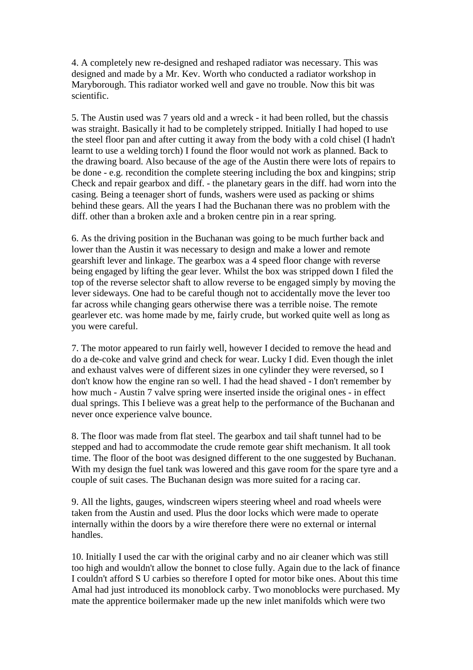4. A completely new re-designed and reshaped radiator was necessary. This was designed and made by a Mr. Kev. Worth who conducted a radiator workshop in Maryborough. This radiator worked well and gave no trouble. Now this bit was scientific.

5. The Austin used was 7 years old and a wreck - it had been rolled, but the chassis was straight. Basically it had to be completely stripped. Initially I had hoped to use the steel floor pan and after cutting it away from the body with a cold chisel (I hadn't learnt to use a welding torch) I found the floor would not work as planned. Back to the drawing board. Also because of the age of the Austin there were lots of repairs to be done - e.g. recondition the complete steering including the box and kingpins; strip Check and repair gearbox and diff. - the planetary gears in the diff. had worn into the casing. Being a teenager short of funds, washers were used as packing or shims behind these gears. All the years I had the Buchanan there was no problem with the diff. other than a broken axle and a broken centre pin in a rear spring.

6. As the driving position in the Buchanan was going to be much further back and lower than the Austin it was necessary to design and make a lower and remote gearshift lever and linkage. The gearbox was a 4 speed floor change with reverse being engaged by lifting the gear lever. Whilst the box was stripped down I filed the top of the reverse selector shaft to allow reverse to be engaged simply by moving the lever sideways. One had to be careful though not to accidentally move the lever too far across while changing gears otherwise there was a terrible noise. The remote gearlever etc. was home made by me, fairly crude, but worked quite well as long as you were careful.

7. The motor appeared to run fairly well, however I decided to remove the head and do a de-coke and valve grind and check for wear. Lucky I did. Even though the inlet and exhaust valves were of different sizes in one cylinder they were reversed, so I don't know how the engine ran so well. I had the head shaved - I don't remember by how much - Austin 7 valve spring were inserted inside the original ones - in effect dual springs. This I believe was a great help to the performance of the Buchanan and never once experience valve bounce.

8. The floor was made from flat steel. The gearbox and tail shaft tunnel had to be stepped and had to accommodate the crude remote gear shift mechanism. It all took time. The floor of the boot was designed different to the one suggested by Buchanan. With my design the fuel tank was lowered and this gave room for the spare tyre and a couple of suit cases. The Buchanan design was more suited for a racing car.

9. All the lights, gauges, windscreen wipers steering wheel and road wheels were taken from the Austin and used. Plus the door locks which were made to operate internally within the doors by a wire therefore there were no external or internal handles.

10. Initially I used the car with the original carby and no air cleaner which was still too high and wouldn't allow the bonnet to close fully. Again due to the lack of finance I couldn't afford S U carbies so therefore I opted for motor bike ones. About this time Amal had just introduced its monoblock carby. Two monoblocks were purchased. My mate the apprentice boilermaker made up the new inlet manifolds which were two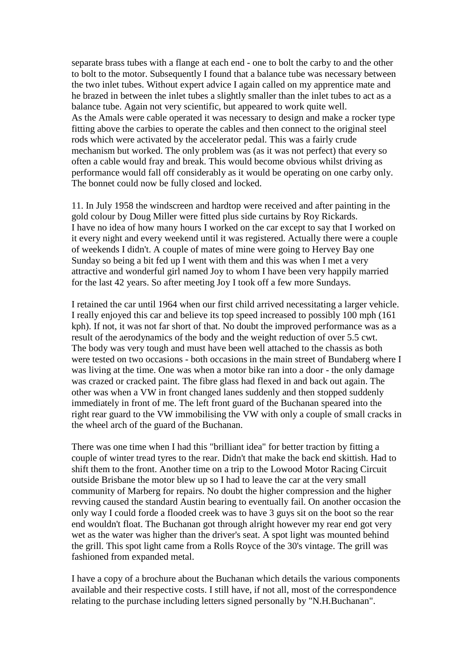separate brass tubes with a flange at each end - one to bolt the carby to and the other to bolt to the motor. Subsequently I found that a balance tube was necessary between the two inlet tubes. Without expert advice I again called on my apprentice mate and he brazed in between the inlet tubes a slightly smaller than the inlet tubes to act as a balance tube. Again not very scientific, but appeared to work quite well. As the Amals were cable operated it was necessary to design and make a rocker type fitting above the carbies to operate the cables and then connect to the original steel rods which were activated by the accelerator pedal. This was a fairly crude mechanism but worked. The only problem was (as it was not perfect) that every so often a cable would fray and break. This would become obvious whilst driving as performance would fall off considerably as it would be operating on one carby only. The bonnet could now be fully closed and locked.

11. In July 1958 the windscreen and hardtop were received and after painting in the gold colour by Doug Miller were fitted plus side curtains by Roy Rickards. I have no idea of how many hours I worked on the car except to say that I worked on it every night and every weekend until it was registered. Actually there were a couple of weekends I didn't. A couple of mates of mine were going to Hervey Bay one Sunday so being a bit fed up I went with them and this was when I met a very attractive and wonderful girl named Joy to whom I have been very happily married for the last 42 years. So after meeting Joy I took off a few more Sundays.

I retained the car until 1964 when our first child arrived necessitating a larger vehicle. I really enjoyed this car and believe its top speed increased to possibly 100 mph (161 kph). If not, it was not far short of that. No doubt the improved performance was as a result of the aerodynamics of the body and the weight reduction of over 5.5 cwt. The body was very tough and must have been well attached to the chassis as both were tested on two occasions - both occasions in the main street of Bundaberg where I was living at the time. One was when a motor bike ran into a door - the only damage was crazed or cracked paint. The fibre glass had flexed in and back out again. The other was when a VW in front changed lanes suddenly and then stopped suddenly immediately in front of me. The left front guard of the Buchanan speared into the right rear guard to the VW immobilising the VW with only a couple of small cracks in the wheel arch of the guard of the Buchanan.

There was one time when I had this "brilliant idea" for better traction by fitting a couple of winter tread tyres to the rear. Didn't that make the back end skittish. Had to shift them to the front. Another time on a trip to the Lowood Motor Racing Circuit outside Brisbane the motor blew up so I had to leave the car at the very small community of Marberg for repairs. No doubt the higher compression and the higher revving caused the standard Austin bearing to eventually fail. On another occasion the only way I could forde a flooded creek was to have 3 guys sit on the boot so the rear end wouldn't float. The Buchanan got through alright however my rear end got very wet as the water was higher than the driver's seat. A spot light was mounted behind the grill. This spot light came from a Rolls Royce of the 30's vintage. The grill was fashioned from expanded metal.

I have a copy of a brochure about the Buchanan which details the various components available and their respective costs. I still have, if not all, most of the correspondence relating to the purchase including letters signed personally by "N.H.Buchanan".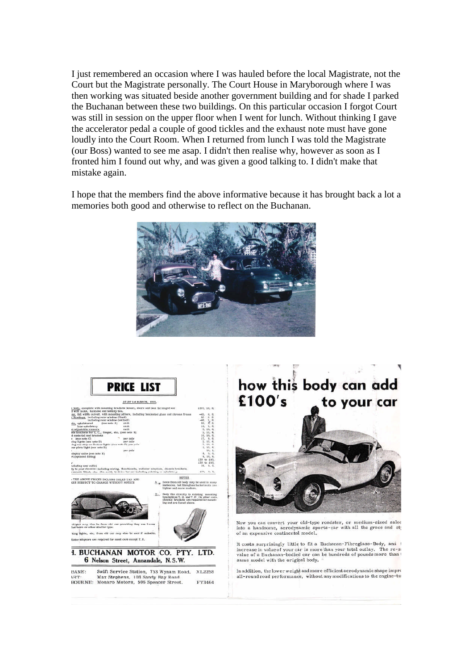I just remembered an occasion where I was hauled before the local Magistrate, not the Court but the Magistrate personally. The Court House in Maryborough where I was then working was situated beside another government building and for shade I parked the Buchanan between these two buildings. On this particular occasion I forgot Court was still in session on the upper floor when I went for lunch. Without thinking I gave the accelerator pedal a couple of good tickles and the exhaust note must have gone loudly into the Court Room. When I returned from lunch I was told the Magistrate (our Boss) wanted to see me asap. I didn't then realise why, however as soon as I fronted him I found out why, and was given a good talking to. I didn't make that mistake again.

I hope that the members find the above informative because it has brought back a lot a memories both good and otherwise to reflect on the Buchanan.





## how this body can add £100's to your car



Now you can convert your old-type roadster, or medium-sized saloc<br>into a handsome, aerodynamic sports-car with all the grace and sty of an expensive continental model.

It costs surprisingly little to fit a Buchanan-Fibreglass-Body, and 1 increase in value of your car is more than your total outlay. The re-si-<br>value of a Buchanan-bodied car can be hundreds of pounds more than 1 same model with the original body.

In addition, the lower weight and more efficient aerodynamic shape impro all-round road performance, without any modifications to the engine-tur